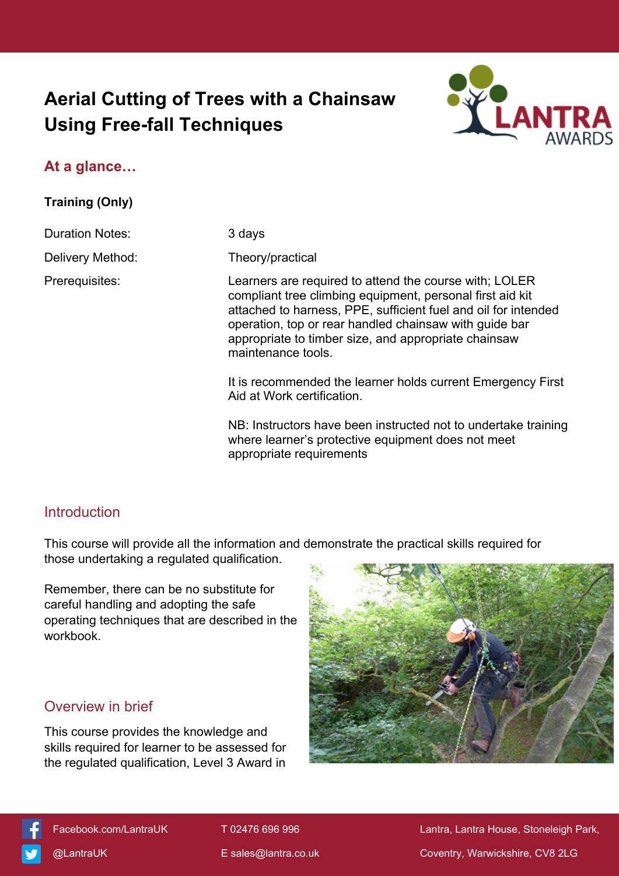# **Aerial Cutting of Trees with a Chainsaw Using Free-fall Techniques**



### **At a glance…**

**Training (Only)**

Duration Notes: 3 days

Delivery Method: Theory/practical

Prerequisites: Learners are required to attend the course with; LOLER compliant tree climbing equipment, personal first aid kit attached to harness, PPE, sufficient fuel and oil for intended operation, top or rear handled chainsaw with guide bar appropriate to timber size, and appropriate chainsaw maintenance tools.

> It is recommended the learner holds current Emergency First Aid at Work certification.

> NB: Instructors have been instructed not to undertake training where learner's protective equipment does not meet appropriate requirements

### **Introduction**

This course will provide all the information and demonstrate the practical skills required for those undertaking a regulated qualification.

Remember, there can be no substitute for careful handling and adopting the safe operating techniques that are described in the workbook.

### Overview in brief

This course provides the knowledge and skills required for learner to be assessed for the regulated qualification, Level 3 Award in





[Facebook.com/LantraUK](https://www.facebook.com/LantraUK/) T 02476 696 996 Lantra, Lantra, Lantra House, Stoneleigh Park, [@LantraUK](http://www.twitter.com/lantrauk) E [sales@lantra.co.uk](mailto:sales@lantra.co.uk) Coventry, Warwickshire, CV8 2LG